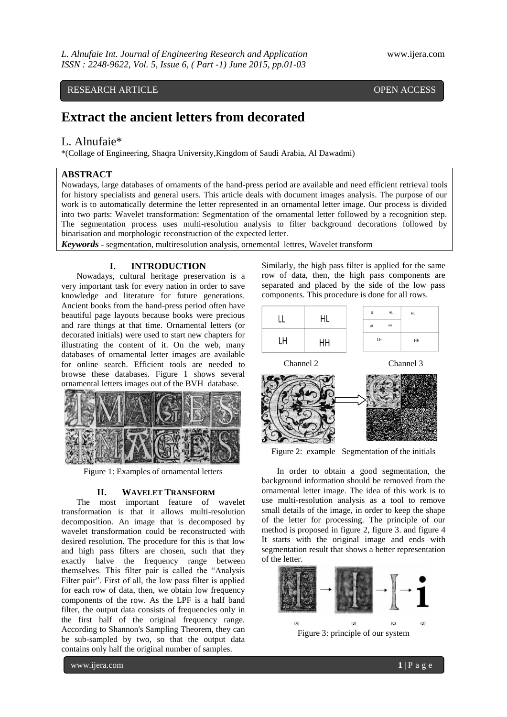# RESEARCH ARTICLE OPEN ACCESS

# **Extract the ancient letters from decorated**

# L. Alnufaie\*

\*(Collage of Engineering, Shaqra University,Kingdom of Saudi Arabia, Al Dawadmi)

# **ABSTRACT**

Nowadays, large databases of ornaments of the hand-press period are available and need efficient retrieval tools for history specialists and general users. This article deals with document images analysis. The purpose of our work is to automatically determine the letter represented in an ornamental letter image. Our process is divided into two parts: Wavelet transformation: Segmentation of the ornamental letter followed by a recognition step. The segmentation process uses multi-resolution analysis to filter background decorations followed by binarisation and morphologic reconstruction of the expected letter.

*Keywords* **-** segmentation, multiresolution analysis, ornemental lettres, Wavelet transform

### **I. INTRODUCTION**

Nowadays, cultural heritage preservation is a very important task for every nation in order to save knowledge and literature for future generations. Ancient books from the hand-press period often have beautiful page layouts because books were precious and rare things at that time. Ornamental letters (or decorated initials) were used to start new chapters for illustrating the content of it. On the web, many databases of ornamental letter images are available for online search. Efficient tools are needed to browse these databases. Figure 1 shows several ornamental letters images out of the BVH database.



Figure 1: Examples of ornamental letters

#### **II. WAVELET TRANSFORM**

The most important feature of wavelet transformation is that it allows multi-resolution decomposition. An image that is decomposed by wavelet transformation could be reconstructed with desired resolution. The procedure for this is that low and high pass filters are chosen, such that they exactly halve the frequency range between themselves. This filter pair is called the "Analysis Filter pair". First of all, the low pass filter is applied for each row of data, then, we obtain low frequency components of the row. As the LPF is a half band filter, the output data consists of frequencies only in the first half of the original frequency range. According to Shannon's Sampling Theorem, they can be sub-sampled by two, so that the output data contains only half the original number of samples.

Similarly, the high pass filter is applied for the same row of data, then, the high pass components are separated and placed by the side of the low pass components. This procedure is done for all rows.

|    | ЧL | Щ         | HL | HL |
|----|----|-----------|----|----|
|    |    | <b>LH</b> | HH |    |
| LΗ | HΗ | LH        |    | HH |

Channel 2 Channel 3



Figure 2: example Segmentation of the initials

In order to obtain a good segmentation, the background information should be removed from the ornamental letter image. The idea of this work is to use multi-resolution analysis as a tool to remove small details of the image, in order to keep the shape of the letter for processing. The principle of our method is proposed in figure 2, figure 3. and figure 4 It starts with the original image and ends with segmentation result that shows a better representation of the letter.

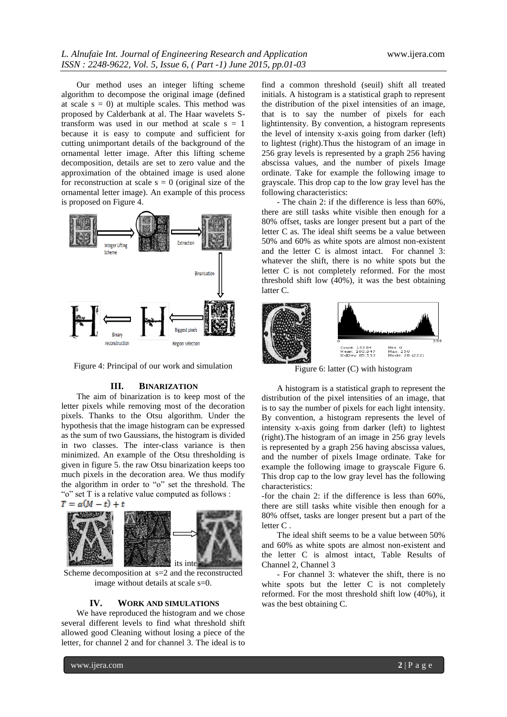Our method uses an integer lifting scheme algorithm to decompose the original image (defined at scale  $s = 0$ ) at multiple scales. This method was proposed by Calderbank at al. The Haar wavelets Stransform was used in our method at scale  $s = 1$ because it is easy to compute and sufficient for cutting unimportant details of the background of the ornamental letter image. After this lifting scheme decomposition, details are set to zero value and the approximation of the obtained image is used alone for reconstruction at scale  $s = 0$  (original size of the ornamental letter image). An example of this process is proposed on Figure 4.



Figure 4: Principal of our work and simulation

#### **III. BINARIZATION**

The aim of binarization is to keep most of the letter pixels while removing most of the decoration pixels. Thanks to the Otsu algorithm. Under the hypothesis that the image histogram can be expressed as the sum of two Gaussians, the histogram is divided in two classes. The inter-class variance is then minimized. An example of the Otsu thresholding is given in figure 5. the raw Otsu binarization keeps too much pixels in the decoration area. We thus modify the algorithm in order to "o" set the threshold. The "o" set T is a relative value computed as follows :



Scheme decomposition at s=2 and the reconstructed image without details at scale s=0.

#### **IV. WORK AND SIMULATIONS**

We have reproduced the histogram and we chose several different levels to find what threshold shift allowed good Cleaning without losing a piece of the letter, for channel 2 and for channel 3. The ideal is to

find a common threshold (seuil) shift all treated initials. A histogram is a statistical graph to represent the distribution of the pixel intensities of an image, that is to say the number of pixels for each lightintensity. By convention, a histogram represents the level of intensity x-axis going from darker (left) to lightest (right).Thus the histogram of an image in 256 gray levels is represented by a graph 256 having abscissa values, and the number of pixels Image ordinate. Take for example the following image to grayscale. This drop cap to the low gray level has the following characteristics:

- The chain 2: if the difference is less than 60%, there are still tasks white visible then enough for a 80% offset, tasks are longer present but a part of the letter C as. The ideal shift seems be a value between 50% and 60% as white spots are almost non-existent and the letter C is almost intact. For channel 3: whatever the shift, there is no white spots but the letter C is not completely reformed. For the most threshold shift low (40%), it was the best obtaining latter C.



Figure 6: latter (C) with histogram

A histogram is a statistical graph to represent the distribution of the pixel intensities of an image, that is to say the number of pixels for each light intensity. By convention, a histogram represents the level of intensity x-axis going from darker (left) to lightest (right).The histogram of an image in 256 gray levels is represented by a graph 256 having abscissa values, and the number of pixels Image ordinate. Take for example the following image to grayscale Figure 6. This drop cap to the low gray level has the following characteristics:

-for the chain 2: if the difference is less than 60%, there are still tasks white visible then enough for a 80% offset, tasks are longer present but a part of the letter C .

The ideal shift seems to be a value between 50% and 60% as white spots are almost non-existent and the letter C is almost intact, Table Results of Channel 2, Channel 3

- For channel 3: whatever the shift, there is no white spots but the letter C is not completely reformed. For the most threshold shift low (40%), it was the best obtaining C.